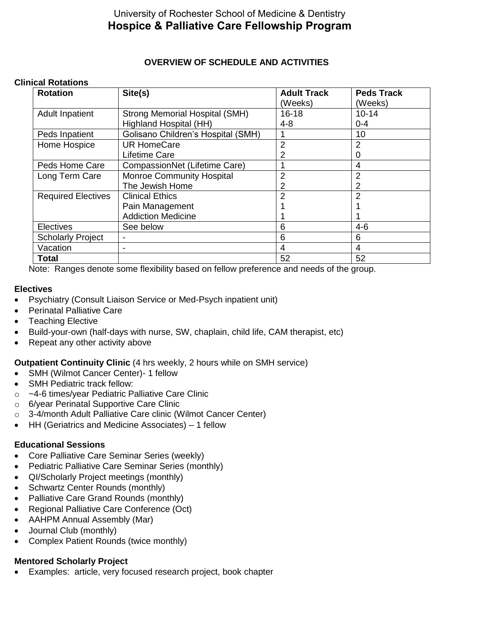# University of Rochester School of Medicine & Dentistry **Hospice & Palliative Care Fellowship Program**

# **OVERVIEW OF SCHEDULE AND ACTIVITIES**

#### **Clinical Rotations**

| <b>Rotation</b>           | Site(s)                               | <b>Adult Track</b> | <b>Peds Track</b> |
|---------------------------|---------------------------------------|--------------------|-------------------|
|                           |                                       | (Weeks)            | (Weeks)           |
| <b>Adult Inpatient</b>    | <b>Strong Memorial Hospital (SMH)</b> | $16 - 18$          | $10 - 14$         |
|                           | Highland Hospital (HH)                | $4 - 8$            | $0 - 4$           |
| Peds Inpatient            | Golisano Children's Hospital (SMH)    |                    | 10                |
| Home Hospice              | <b>UR HomeCare</b>                    | 2                  | 2                 |
|                           | Lifetime Care                         |                    | O                 |
| Peds Home Care            | CompassionNet (Lifetime Care)         |                    | 4                 |
| Long Term Care            | <b>Monroe Community Hospital</b>      | 2                  | 2                 |
|                           | The Jewish Home                       | 2                  |                   |
| <b>Required Electives</b> | <b>Clinical Ethics</b>                | 2                  | 2                 |
|                           | Pain Management                       |                    |                   |
|                           | <b>Addiction Medicine</b>             |                    |                   |
| <b>Electives</b>          | See below                             | 6                  | $4 - 6$           |
| <b>Scholarly Project</b>  | ۰                                     | 6                  | 6                 |
| Vacation                  | $\overline{\phantom{0}}$              | 4                  | 4                 |
| <b>Total</b>              |                                       | 52                 | 52                |

Note: Ranges denote some flexibility based on fellow preference and needs of the group.

#### **Electives**

- Psychiatry (Consult Liaison Service or Med-Psych inpatient unit)
- Perinatal Palliative Care
- Teaching Elective
- Build-your-own (half-days with nurse, SW, chaplain, child life, CAM therapist, etc)
- Repeat any other activity above

## **Outpatient Continuity Clinic** (4 hrs weekly, 2 hours while on SMH service)

- SMH (Wilmot Cancer Center)- 1 fellow
- SMH Pediatric track fellow:
- o ~4-6 times/year Pediatric Palliative Care Clinic
- o 6/year Perinatal Supportive Care Clinic
- o 3-4/month Adult Palliative Care clinic (Wilmot Cancer Center)
- HH (Geriatrics and Medicine Associates) 1 fellow

## **Educational Sessions**

- Core Palliative Care Seminar Series (weekly)
- Pediatric Palliative Care Seminar Series (monthly)
- QI/Scholarly Project meetings (monthly)
- Schwartz Center Rounds (monthly)
- Palliative Care Grand Rounds (monthly)
- Regional Palliative Care Conference (Oct)
- AAHPM Annual Assembly (Mar)
- Journal Club (monthly)
- Complex Patient Rounds (twice monthly)

## **Mentored Scholarly Project**

Examples: article, very focused research project, book chapter